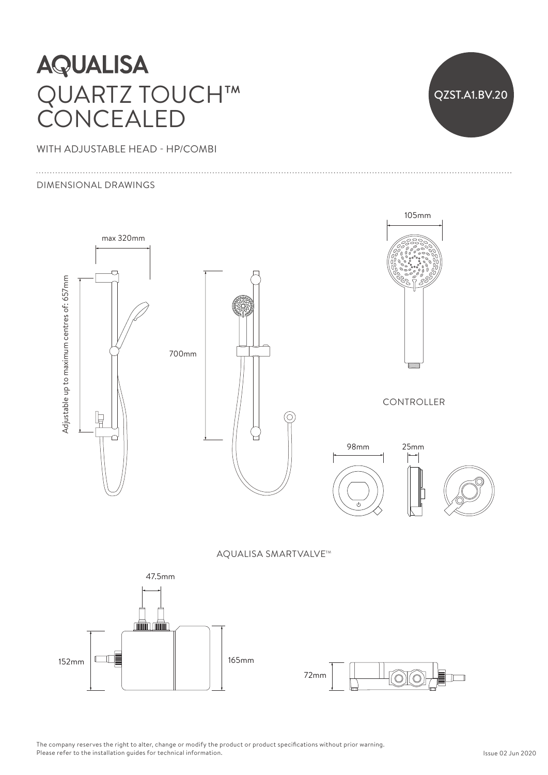## **AQUALISA** QUARTZ TOUCH™ Ceiling arm can be cut shorter to suit ceiling height CONCEALED  $\overline{\phantom{a}}$

WITH ADJUSTABLE HEAD - HP/COMBI

### DIMENSIONAL DRAWINGS

QZST.A1.BV.20



70) Ó